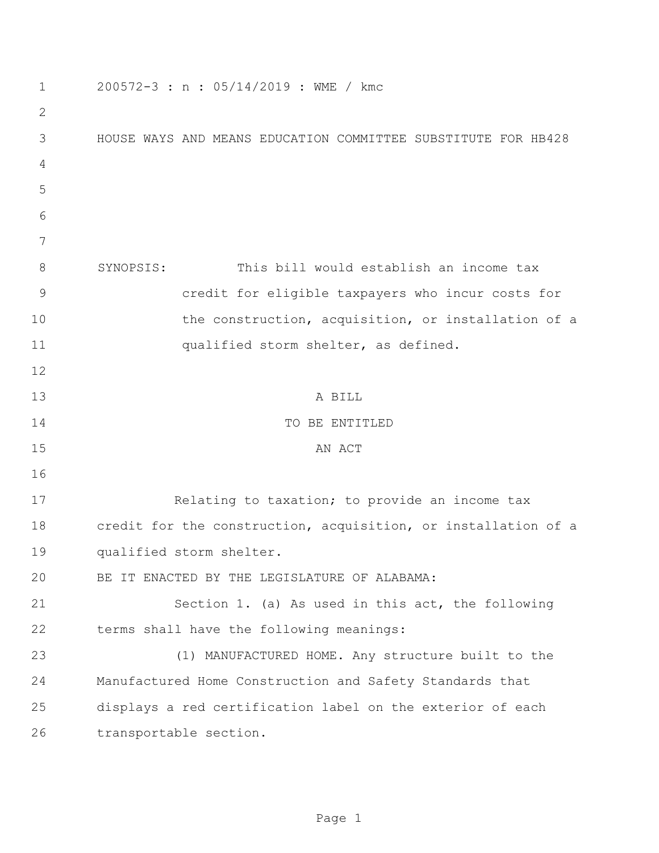| 1             | 200572-3 : n : 05/14/2019 : WME / kmc                          |
|---------------|----------------------------------------------------------------|
| $\mathbf{2}$  |                                                                |
| 3             | HOUSE WAYS AND MEANS EDUCATION COMMITTEE SUBSTITUTE FOR HB428  |
| 4             |                                                                |
| 5             |                                                                |
| 6             |                                                                |
| 7             |                                                                |
| 8             | This bill would establish an income tax<br>SYNOPSIS:           |
| $\mathcal{G}$ | credit for eligible taxpayers who incur costs for              |
| 10            | the construction, acquisition, or installation of a            |
| 11            | qualified storm shelter, as defined.                           |
| 12            |                                                                |
| 13            | A BILL                                                         |
| 14            | TO BE ENTITLED                                                 |
| 15            | AN ACT                                                         |
| 16            |                                                                |
| 17            | Relating to taxation; to provide an income tax                 |
| 18            | credit for the construction, acquisition, or installation of a |
| 19            | qualified storm shelter.                                       |
| 20            | BE IT ENACTED BY THE LEGISLATURE OF ALABAMA:                   |
| 21            | Section 1. (a) As used in this act, the following              |
| 22            | terms shall have the following meanings:                       |
| 23            | (1) MANUFACTURED HOME. Any structure built to the              |
| 24            | Manufactured Home Construction and Safety Standards that       |
| 25            | displays a red certification label on the exterior of each     |
| 26            | transportable section.                                         |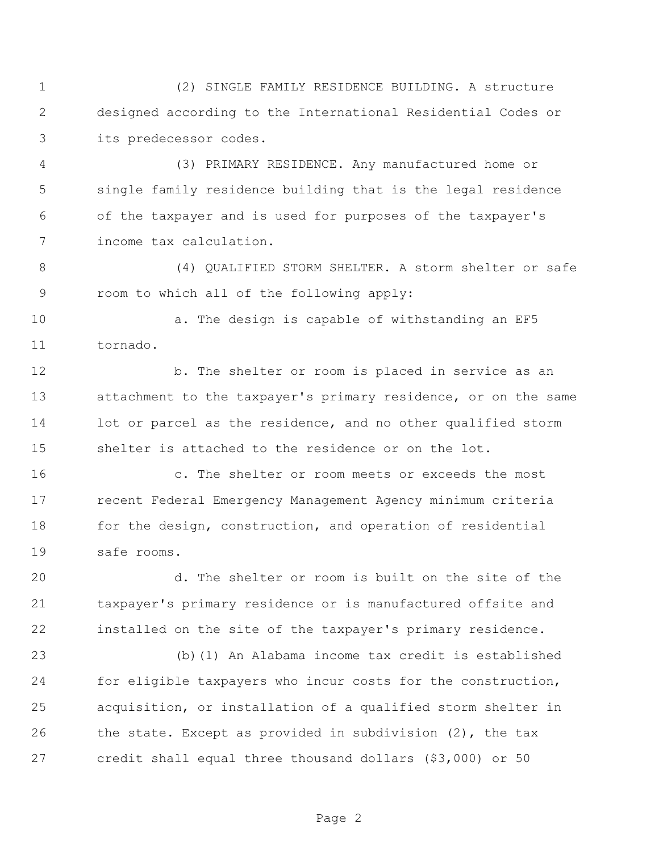(2) SINGLE FAMILY RESIDENCE BUILDING. A structure designed according to the International Residential Codes or its predecessor codes.

 (3) PRIMARY RESIDENCE. Any manufactured home or single family residence building that is the legal residence of the taxpayer and is used for purposes of the taxpayer's income tax calculation.

 (4) QUALIFIED STORM SHELTER. A storm shelter or safe room to which all of the following apply:

10 a. The design is capable of withstanding an EF5 tornado.

 b. The shelter or room is placed in service as an attachment to the taxpayer's primary residence, or on the same 14 lot or parcel as the residence, and no other qualified storm shelter is attached to the residence or on the lot.

 c. The shelter or room meets or exceeds the most recent Federal Emergency Management Agency minimum criteria 18 for the design, construction, and operation of residential safe rooms.

 d. The shelter or room is built on the site of the taxpayer's primary residence or is manufactured offsite and installed on the site of the taxpayer's primary residence.

 (b)(1) An Alabama income tax credit is established for eligible taxpayers who incur costs for the construction, acquisition, or installation of a qualified storm shelter in 26 the state. Except as provided in subdivision (2), the tax credit shall equal three thousand dollars (\$3,000) or 50

Page 2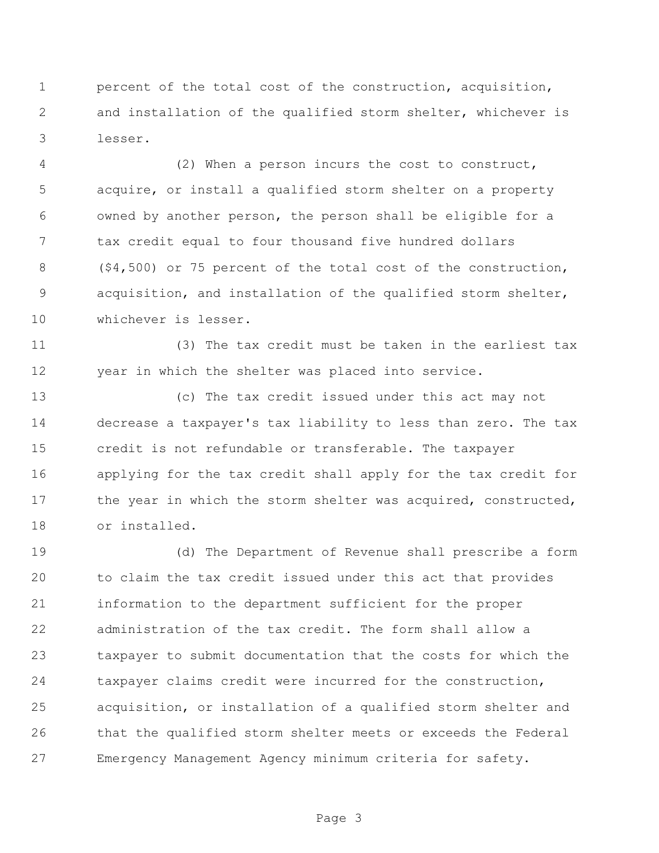percent of the total cost of the construction, acquisition, and installation of the qualified storm shelter, whichever is lesser.

 (2) When a person incurs the cost to construct, acquire, or install a qualified storm shelter on a property owned by another person, the person shall be eligible for a tax credit equal to four thousand five hundred dollars (\$4,500) or 75 percent of the total cost of the construction, acquisition, and installation of the qualified storm shelter, whichever is lesser.

 (3) The tax credit must be taken in the earliest tax year in which the shelter was placed into service.

 (c) The tax credit issued under this act may not decrease a taxpayer's tax liability to less than zero. The tax credit is not refundable or transferable. The taxpayer applying for the tax credit shall apply for the tax credit for 17 the year in which the storm shelter was acquired, constructed, or installed.

 (d) The Department of Revenue shall prescribe a form to claim the tax credit issued under this act that provides information to the department sufficient for the proper administration of the tax credit. The form shall allow a taxpayer to submit documentation that the costs for which the taxpayer claims credit were incurred for the construction, acquisition, or installation of a qualified storm shelter and that the qualified storm shelter meets or exceeds the Federal Emergency Management Agency minimum criteria for safety.

Page 3